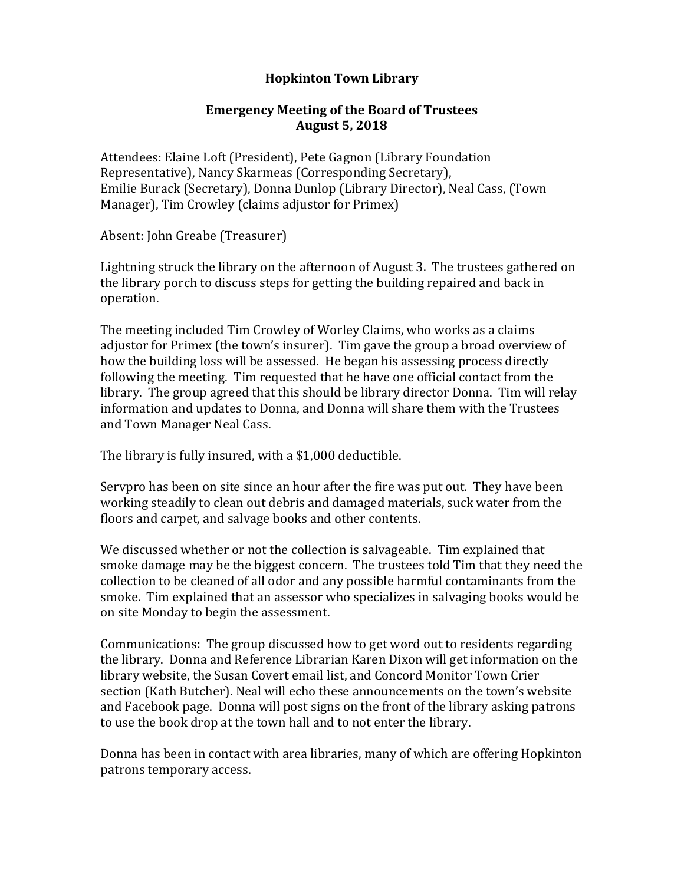## **Hopkinton Town Library**

## **Emergency Meeting of the Board of Trustees August 5, 2018**

Attendees: Elaine Loft (President), Pete Gagnon (Library Foundation Representative), Nancy Skarmeas (Corresponding Secretary), Emilie Burack (Secretary), Donna Dunlop (Library Director), Neal Cass, (Town Manager), Tim Crowley (claims adjustor for Primex)

Absent: John Greabe (Treasurer)

Lightning struck the library on the afternoon of August 3. The trustees gathered on the library porch to discuss steps for getting the building repaired and back in operation.

The meeting included Tim Crowley of Worley Claims, who works as a claims adjustor for Primex (the town's insurer). Tim gave the group a broad overview of how the building loss will be assessed. He began his assessing process directly following the meeting. Tim requested that he have one official contact from the library. The group agreed that this should be library director Donna. Tim will relay information and updates to Donna, and Donna will share them with the Trustees and Town Manager Neal Cass.

The library is fully insured, with a \$1,000 deductible.

Servpro has been on site since an hour after the fire was put out. They have been working steadily to clean out debris and damaged materials, suck water from the floors and carpet, and salvage books and other contents.

We discussed whether or not the collection is salvageable. Tim explained that smoke damage may be the biggest concern. The trustees told Tim that they need the collection to be cleaned of all odor and any possible harmful contaminants from the smoke. Tim explained that an assessor who specializes in salvaging books would be on site Monday to begin the assessment.

Communications: The group discussed how to get word out to residents regarding the library. Donna and Reference Librarian Karen Dixon will get information on the library website, the Susan Covert email list, and Concord Monitor Town Crier section (Kath Butcher). Neal will echo these announcements on the town's website and Facebook page. Donna will post signs on the front of the library asking patrons to use the book drop at the town hall and to not enter the library.

Donna has been in contact with area libraries, many of which are offering Hopkinton patrons temporary access.